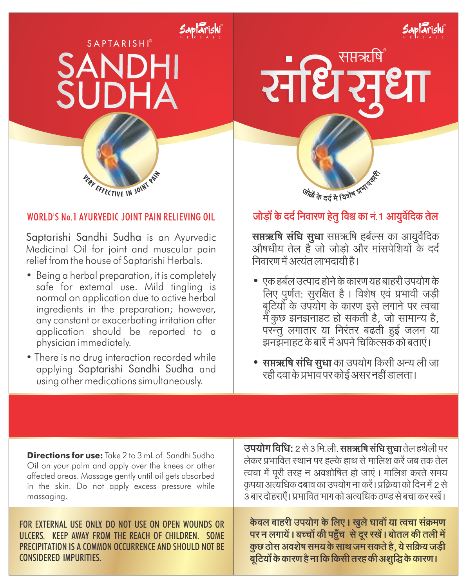## **SAPTARISHI®** SANDHI **SI IDHA**

Saptārishi



## WORLD'S No.1 AYURVEDIC JOINT PAIN RELIEVING OIL

Saptarishi Sandhi Sudha is an Ayurvedic Medicinal Oil for joint and muscular pain relief from the house of Saptarishi Herbals.

- Being a herbal preparation, it is completely safe for external use. Mild tingling is normal on application due to active herbal ingredients in the preparation; however, any constant or exacerbating irritation after application should be reported to a physician immediately.
- There is no drug interaction recorded while applying Saptarishi Sandhi Sudha and using other medications simultaneously.

## सप्तऋषि

Saptarishi



जोड़ों के दर्द निवारण हेतु विश्व का नं. 1 आयुर्वेदिक तेल

सप्तऋषि संधि सुधा सप्तऋषि हर्बल्स का आयुर्वेदिक ्णानम्<br>औषधीय तेल है जो जोड़ो और मांसपेशियों के दर्द निवारण में अत्यंत लाभदायी है।

- एक हर्बल उत्पाद होने के कारण यह बाहरी उपयोग के .<br>लिए पूर्णत: सुरक्षित है। विशेष एवं प्रभावी जड़ी बुटियोँ के उपयोग के कारण इसे लगाने पर त्वचा में कुछ झनझनाहट हो सकती है, जो सामान्य है, परन्तु लगातार या निरंतर बढती हुई जलन या झनझनाहट के बारें में अपने चिकित्सक को बताएं।
- सप्तऋषि संधि सुधा का उपयोग किसी अन्य ली जा रही दवा के प्रभाव पर कोई असर नहीं डालता।

| <b>Directions for use:</b> Take 2 to 3 mL of Sandhi Sudha | उपयोग विधि: 2 से 3 मि.ली. सप्तऋषि संधि सुधा तेल हथेली पर       |
|-----------------------------------------------------------|----------------------------------------------------------------|
| Oil on your palm and apply over the knees or other        | लेकर प्रभावित स्थान पर हल्के हाथ से मालिश करें जब तक तेल       |
| affected areas. Massage gently until oil gets absorbed    | त्वचा में पूरी तरह न अवशोषित हो जाएं। मालिश करते समय           |
| in the skin. Do not apply excess pressure while           | कृपया अत्यधिक दबाव का उपयोग ना करें। प्रक्रिया को दिन में 2 से |
| massaging.                                                | 3 बार दोहराएँ। प्रभावित भाग को अत्यधिक ठण्ड से बचा कर रखें।    |
| FOR EXTERNAL USE ONLY. DO NOT USE ON OPEN WOUNDS OR       | केवल बाहरी उपयोग के लिए। खुले घावों या त्वचा संक्रमण           |
| ULCERS. KEEP AWAY FROM THE REACH OF CHILDREN. SOME        | पर न लगायें। बच्चों की पहुँच से दूर रखें। बोतल की तली में      |
| PRECIPITATION IS A COMMON OCCURRENCE AND SHOULD NOT BE    | कुछ ठोस अवशेष समय के साथ जम सकते है, ये सक्रिय जड़ी            |
| <b>CONSIDERED IMPURITIES.</b>                             | बूटियों के कारण है ना कि किसी तरह की अशुद्धि के कारण।          |